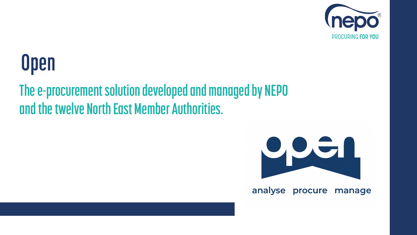## **Open**

#### **The e-procurement solution developed and managed by NEPO and the twelve North East Member Authorities.**





#### analyse procure manage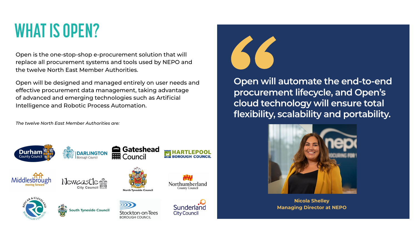Open is the one-stop-shop e-procurement solution that will replace all procurement systems and tools used by NEPO and the twelve North East Member Authorities.

Open will be designed and managed entirely on user needs and effective procurement data management, taking advantage of advanced and emerging technologies such as Artificial Intelligence and Robotic Process Automation.

*The twelve North East Member Authorities are:*



























**Open will automate the end-to-end procurement lifecycle, and Open's cloud technology will ensure total flexibility, scalability and portability.**

#### **WHAT IS OPEN?**



**Nicola Shelley Managing Director at NEPO**

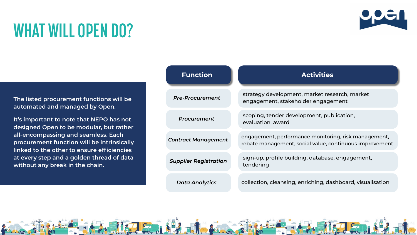**The listed procurement functions will be automated and managed by Open.**

**It's important to note that NEPO has not designed Open to be modular, but rather all-encompassing and seamless. Each procurement function will be intrinsically linked to the other to ensure efficiencies at every step and a golden thread of data without any break in the chain.**

#### **WHAT WILL OPEN DO?**



*Data Al* 



| <b>Function</b>    | <b>Activities</b>                                                                                               |
|--------------------|-----------------------------------------------------------------------------------------------------------------|
| -Procurement       | strategy development, market research, market<br>engagement, stakeholder engagement                             |
| <i>rocurement</i>  | scoping, tender development, publication,<br>evaluation, award                                                  |
| act Management     | engagement, performance monitoring, risk management,<br>rebate management, social value, continuous improvement |
| olier Registration | sign-up, profile building, database, engagement,<br>tendering                                                   |
| ata Analytics      | collection, cleansing, enriching, dashboard, visualisation                                                      |





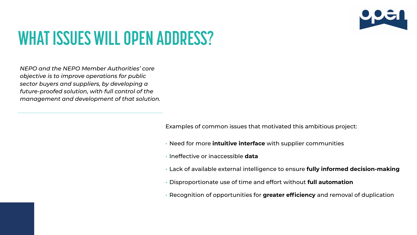#### **WHAT ISSUES WILL OPEN ADDRESS?**

*NEPO and the NEPO Member Authorities' core objective is to improve operations for public sector buyers and suppliers, by developing a future-proofed solution, with full control of the management and development of that solution.* 

Examples of common issues that motivated this ambitious project:

- Need for more **intuitive interface** with supplier communities
- Ineffective or inaccessible **data**
- Lack of available external intelligence to ensure **fully informed decision-making**
- Disproportionate use of time and effort without **full automation**
- Recognition of opportunities for **greater efficiency** and removal of duplication

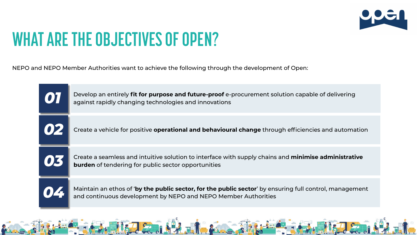#### **WHAT ARE THE OBJECTIVES OF OPEN?**

NEPO and NEPO Member Authorities want to achieve the following through the development of Open:

| [O] | Develop an entirely fit for purpose and future-proof e-<br>against rapidly changing technologies and innovations        |
|-----|-------------------------------------------------------------------------------------------------------------------------|
| OZ  | Create a vehicle for positive operational and behaviour                                                                 |
| 05  | Create a seamless and intuitive solution to interface wit<br><b>burden</b> of tendering for public sector opportunities |
|     | Maintain an ethos of 'by the public sector, for the publ<br>and continuous development by NEPO and NEPO Mem             |





**ure-proof** e-procurement solution capable of delivering

**d behavioural change** through efficiencies and automation

interface with supply chains and **minimise administrative** 

**044** Maintain an ethos of **'by the public sector, for the public sector**' by ensuring full control, management and continuous development by NEPO and NEPO Member Authorities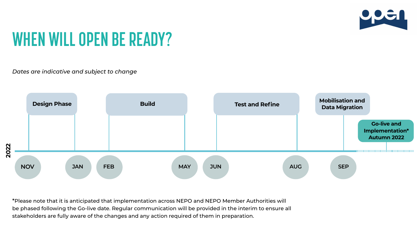#### **WHEN WILL OPEN BE READY?**

\*Please note that it is anticipated that implementation across NEPO and NEPO Member Authorities will be phased following the Go-live date. Regular communication will be provided in the interim to ensure all stakeholders are fully aware of the changes and any action required of them in preparation.





*Dates are indicative and subject to change*

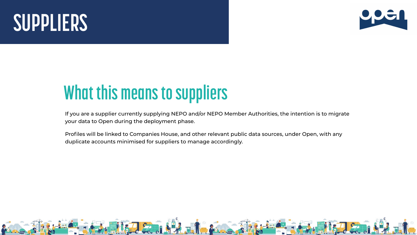#### **What this means to suppliers**

If you are a supplier currently supplying NEPO and/or NEPO Member Authorities, the intention is to migrate your data to Open during the deployment phase.

Profiles will be linked to Companies House, and other relevant public data sources, under Open, with any duplicate accounts minimised for suppliers to manage accordingly.





# **SUPPLIERS**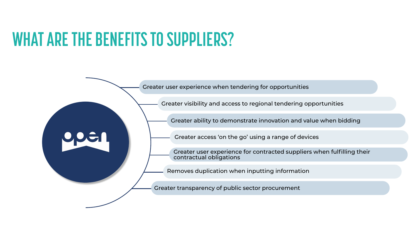#### **WHAT ARE THE BENEFITS TO SUPPLIERS?**



Greater user experience when tendering for opportunities

Greater visibility and access to regional tendering opportunities

Greater ability to demonstrate innovation and value when bidding

Greater user experience for contracted suppliers when fulfilling their contractual obligations

Removes duplication when inputting information

Greater transparency of public sector procurement



Greater access 'on the go' using a range of devices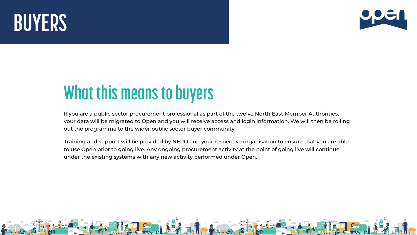If you are a public sector procurement professional as part of the twelve North East Member Authorities, your data will be migrated to Open and you will receive access and login information. We will then be rolling out the programme to the wider public sector buyer community.

Training and support will be provided by NEPO and your respective organisation to ensure that you are able to use Open prior to going live. Any ongoing procurement activity at the point of going live will continue under the existing systems with any new activity performed under Open.







### **What this means to buyers**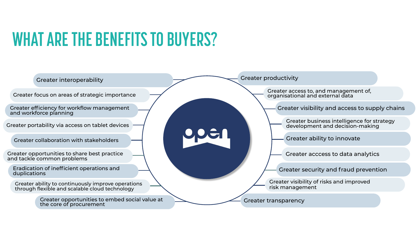#### **WHAT ARE THE BENEFITS TO BUYERS?**



Greater opportunities to share best practice and tackle common problems

Greater interoperability

Greater focus on areas of strategic importance

Greater efficiency for workflow management and workforce planning

Greater portability via access on tablet devices

Greater collaboration with stakeholders

Eradication of inefficient operations and duplications

Greater ability to continuously improve operations through flexible and scalable cloud technology

> Greater opportunities to embed social value at the core of procurement